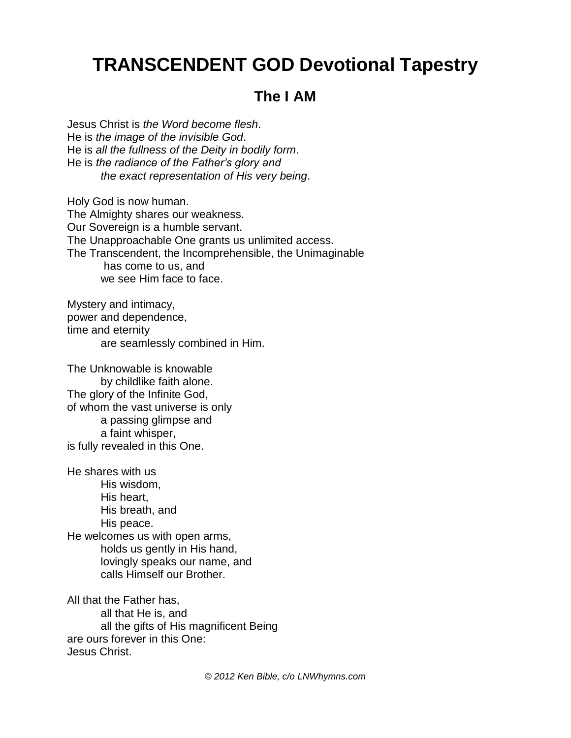## **TRANSCENDENT GOD Devotional Tapestry**

## **The I AM**

Jesus Christ is *the Word become flesh*. He is *the image of the invisible God*. He is *all the fullness of the Deity in bodily form*. He is *the radiance of the Father's glory and the exact representation of His very being*.

Holy God is now human. The Almighty shares our weakness. Our Sovereign is a humble servant. The Unapproachable One grants us unlimited access. The Transcendent, the Incomprehensible, the Unimaginable has come to us, and we see Him face to face.

Mystery and intimacy, power and dependence, time and eternity are seamlessly combined in Him.

The Unknowable is knowable by childlike faith alone. The glory of the Infinite God, of whom the vast universe is only a passing glimpse and a faint whisper, is fully revealed in this One.

He shares with us His wisdom, His heart, His breath, and His peace. He welcomes us with open arms, holds us gently in His hand, lovingly speaks our name, and calls Himself our Brother.

All that the Father has, all that He is, and all the gifts of His magnificent Being are ours forever in this One: Jesus Christ.